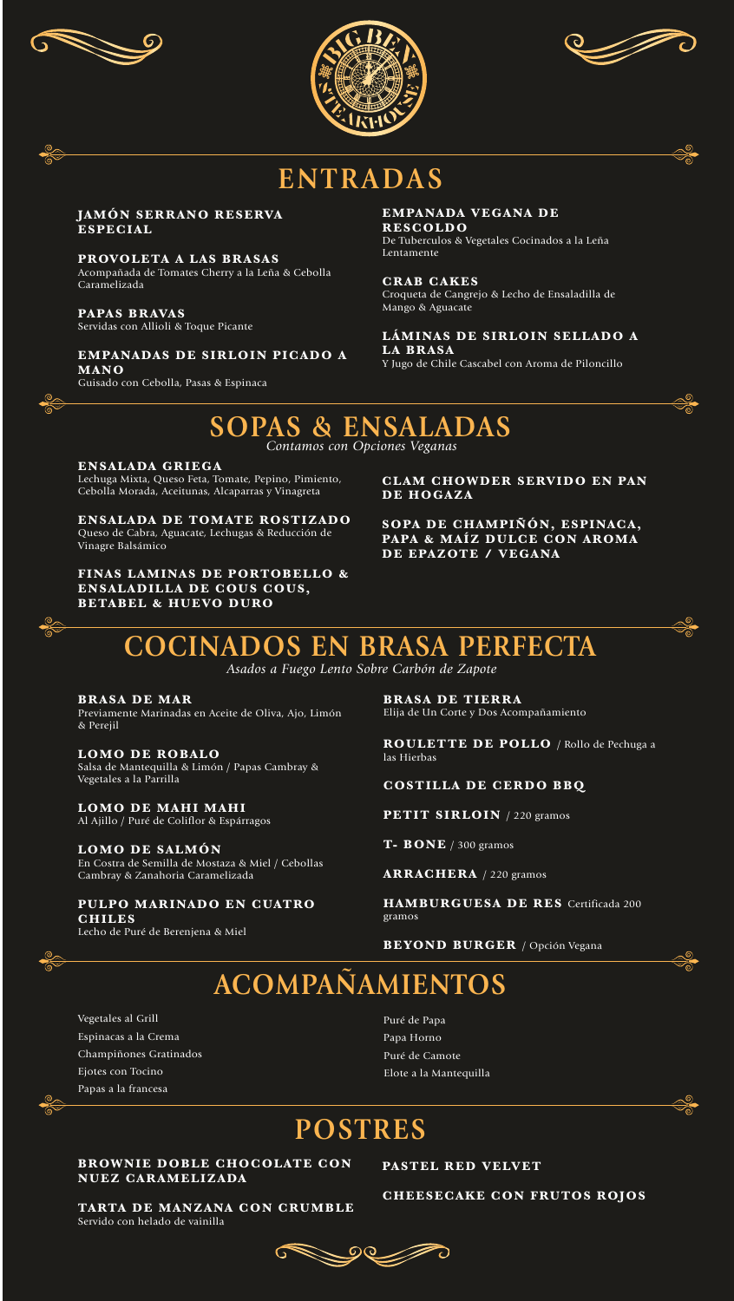





# **ENTRADAS**

**BROWNIE DOBLE CHOCOLATE CON NUEZ CARAMELIZADA**

#### **TARTA DE MANZANA CON CRUMBLE** Servido con helado de vainilla



**PASTEL RED VELVET**

**CHEESECAKE CON FRUTOS ROJOS**

### **JAMÓN SERRANO RESERVA ESPECIAL**

### **PROVOLETA A LAS BRASAS**

Acompañada de Tomates Cherry a la Leña & Cebolla Caramelizada

**PAPAS BRAVAS** Servidas con Allioli & Toque Picante

### **EMPANADAS DE SIRLOIN PICADO A MANO**

Guisado con Cebolla, Pasas & Espinaca

#### **EMPANADA VEGANA DE RESCOLDO**

De Tuberculos & Vegetales Cocinados a la Leña Lentamente

### **CRAB CAKES**

Croqueta de Cangrejo & Lecho de Ensaladilla de Mango & Aguacate

#### **LÁMINAS DE SIRLOIN SELLADO A LA BRASA**

Y Jugo de Chile Cascabel con Aroma de Piloncillo

#### **ENSALADA GRIEGA**

Lechuga Mixta, Queso Feta, Tomate, Pepino, Pimiento, Cebolla Morada, Aceitunas, Alcaparras y Vinagreta

### **ENSALADA DE TOMATE ROSTIZADO**

Queso de Cabra, Aguacate, Lechugas & Reducción de Vinagre Balsámico

### **FINAS LAMINAS DE PORTOBELLO & ENSALADILLA DE COUS COUS, BETABEL & HUEVO DURO**

**CLAM CHOWDER SERVIDO EN PAN DE HOGAZA**

**SOPA DE CHAMPIÑÓN, ESPINACA, PAPA & MAÍZ DULCE CON AROMA DE EPAZOTE / VEGANA**



**BRASA DE MAR** Previamente Marinadas en Aceite de Oliva, Ajo, Limón & Perejil

**LOMO DE ROBALO** Salsa de Mantequilla & Limón / Papas Cambray & Vegetales a la Parrilla

**LOMO DE MAHI MAHI** Al Ajillo / Puré de Coliflor & Espárragos

**LOMO DE SALMÓN** En Costra de Semilla de Mostaza & Miel / Cebollas Cambray & Zanahoria Caramelizada

### **PULPO MARINADO EN CUATRO CHILES**

Lecho de Puré de Berenjena & Miel



**BRASA DE TIERRA** Elija de Un Corte y Dos Acompañamiento

**ROULETTE DE POLLO** / Rollo de Pechuga a las Hierbas

**COSTILLA DE CERDO BBQ**

**PETIT SIRLOIN** / 220 gramos

**T- BONE** / 300 gramos

**ARRACHERA** / 220 gramos

**HAMBURGUESA DE RES** Certificada 200 gramos

#### **BEYOND BURGER** / Opción Vegana

### **POSTRES**

Vegetales al Grill Espinacas a la Crema Champiñones Gratinados Ejotes con Tocino

Papas a la francesa

Puré de Papa Papa Horno Puré de Camote Elote a la Mantequilla



### **COCINADOS EN BRASA PERFECTA**



*Contamos con Opciones Veganas*

*Asados a Fuego Lento Sobre Carbón de Zapote*